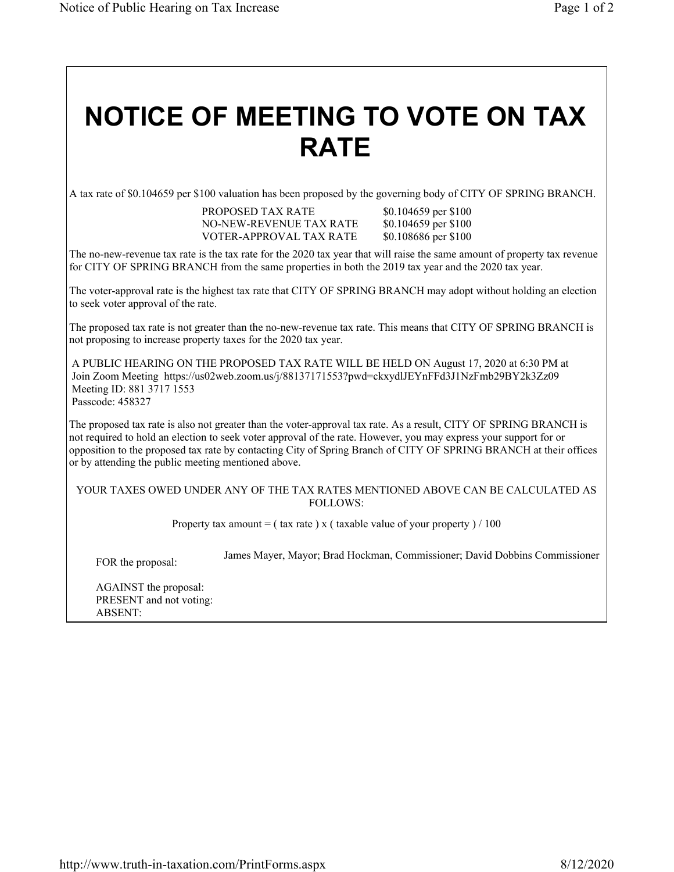## **NOTICE OF MEETING TO VOTE ON TAX RATE**

A tax rate of \$0.104659 per \$100 valuation has been proposed by the governing body of CITY OF SPRING BRANCH.

PROPOSED TAX RATE \$0.104659 per \$100 NO-NEW-REVENUE TAX RATE \$0.104659 per \$100 VOTER-APPROVAL TAX RATE \$0.108686 per \$100

The no-new-revenue tax rate is the tax rate for the 2020 tax year that will raise the same amount of property tax revenue for CITY OF SPRING BRANCH from the same properties in both the 2019 tax year and the 2020 tax year.

The voter-approval rate is the highest tax rate that CITY OF SPRING BRANCH may adopt without holding an election to seek voter approval of the rate.

The proposed tax rate is not greater than the no-new-revenue tax rate. This means that CITY OF SPRING BRANCH is not proposing to increase property taxes for the 2020 tax year.

A PUBLIC HEARING ON THE PROPOSED TAX RATE WILL BE HELD ON August 17, 2020 at 6:30 PM at Join Zoom Meeting https://us02web.zoom.us/j/88137171553?pwd=ckxydlJEYnFFd3J1NzFmb29BY2k3Zz09 Meeting ID: 881 3717 1553 Passcode: 458327

The proposed tax rate is also not greater than the voter-approval tax rate. As a result, CITY OF SPRING BRANCH is not required to hold an election to seek voter approval of the rate. However, you may express your support for or opposition to the proposed tax rate by contacting City of Spring Branch of CITY OF SPRING BRANCH at their offices or by attending the public meeting mentioned above.

## YOUR TAXES OWED UNDER ANY OF THE TAX RATES MENTIONED ABOVE CAN BE CALCULATED AS FOLLOWS:

Property tax amount = ( tax rate ) x ( taxable value of your property ) / 100

FOR the proposal: James Mayer, Mayor; Brad Hockman, Commissioner; David Dobbins Commissioner

AGAINST the proposal: PRESENT and not voting: ABSENT: